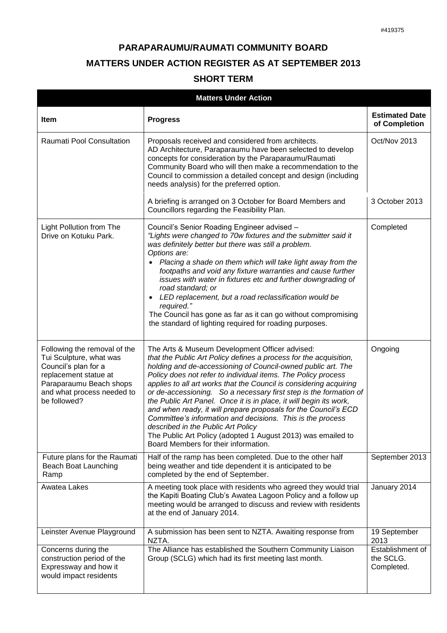## **PARAPARAUMU/RAUMATI COMMUNITY BOARD MATTERS UNDER ACTION REGISTER AS AT SEPTEMBER 2013 SHORT TERM**

| <b>Matters Under Action</b>                                                                                                                                                       |                                                                                                                                                                                                                                                                                                                                                                                                                                                                                                                                                                                                                                                                                                                                                      |                                                                     |  |  |
|-----------------------------------------------------------------------------------------------------------------------------------------------------------------------------------|------------------------------------------------------------------------------------------------------------------------------------------------------------------------------------------------------------------------------------------------------------------------------------------------------------------------------------------------------------------------------------------------------------------------------------------------------------------------------------------------------------------------------------------------------------------------------------------------------------------------------------------------------------------------------------------------------------------------------------------------------|---------------------------------------------------------------------|--|--|
| <b>Item</b>                                                                                                                                                                       | <b>Progress</b>                                                                                                                                                                                                                                                                                                                                                                                                                                                                                                                                                                                                                                                                                                                                      | <b>Estimated Date</b><br>of Completion                              |  |  |
| Raumati Pool Consultation                                                                                                                                                         | Proposals received and considered from architects.<br>AD Architecture, Paraparaumu have been selected to develop<br>concepts for consideration by the Paraparaumu/Raumati<br>Community Board who will then make a recommendation to the<br>Council to commission a detailed concept and design (including<br>needs analysis) for the preferred option.                                                                                                                                                                                                                                                                                                                                                                                               | Oct/Nov 2013                                                        |  |  |
|                                                                                                                                                                                   | A briefing is arranged on 3 October for Board Members and<br>Councillors regarding the Feasibility Plan.                                                                                                                                                                                                                                                                                                                                                                                                                                                                                                                                                                                                                                             | 3 October 2013                                                      |  |  |
| <b>Light Pollution from The</b><br>Drive on Kotuku Park.                                                                                                                          | Council's Senior Roading Engineer advised -<br>"Lights were changed to 70w fixtures and the submitter said it<br>was definitely better but there was still a problem.<br>Options are:<br>Placing a shade on them which will take light away from the<br>$\bullet$<br>footpaths and void any fixture warranties and cause further<br>issues with water in fixtures etc and further downgrading of<br>road standard; or<br>LED replacement, but a road reclassification would be<br>required."<br>The Council has gone as far as it can go without compromising<br>the standard of lighting required for roading purposes.                                                                                                                             | Completed                                                           |  |  |
| Following the removal of the<br>Tui Sculpture, what was<br>Council's plan for a<br>replacement statue at<br>Paraparaumu Beach shops<br>and what process needed to<br>be followed? | The Arts & Museum Development Officer advised:<br>that the Public Art Policy defines a process for the acquisition,<br>holding and de-accessioning of Council-owned public art. The<br>Policy does not refer to individual items. The Policy process<br>applies to all art works that the Council is considering acquiring<br>or de-accessioning. So a necessary first step is the formation of<br>the Public Art Panel. Once it is in place, it will begin its work,<br>and when ready, it will prepare proposals for the Council's ECD<br>Committee's information and decisions. This is the process<br>described in the Public Art Policy<br>The Public Art Policy (adopted 1 August 2013) was emailed to<br>Board Members for their information. | Ongoing                                                             |  |  |
| Future plans for the Raumati<br>Beach Boat Launching<br>Ramp                                                                                                                      | Half of the ramp has been completed. Due to the other half<br>being weather and tide dependent it is anticipated to be<br>completed by the end of September.                                                                                                                                                                                                                                                                                                                                                                                                                                                                                                                                                                                         | September 2013                                                      |  |  |
| Awatea Lakes                                                                                                                                                                      | A meeting took place with residents who agreed they would trial<br>the Kapiti Boating Club's Awatea Lagoon Policy and a follow up<br>meeting would be arranged to discuss and review with residents<br>at the end of January 2014.                                                                                                                                                                                                                                                                                                                                                                                                                                                                                                                   | January 2014                                                        |  |  |
| Leinster Avenue Playground<br>Concerns during the<br>construction period of the<br>Expressway and how it<br>would impact residents                                                | A submission has been sent to NZTA. Awaiting response from<br>NZTA.<br>The Alliance has established the Southern Community Liaison<br>Group (SCLG) which had its first meeting last month.                                                                                                                                                                                                                                                                                                                                                                                                                                                                                                                                                           | 19 September<br>2013<br>Establishment of<br>the SCLG.<br>Completed. |  |  |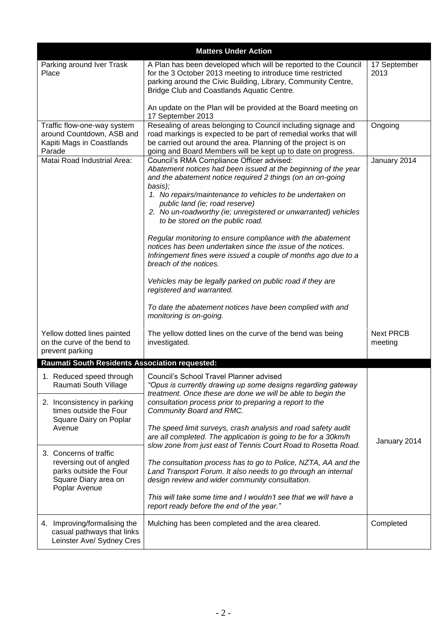|                                                                                                                                                | <b>Matters Under Action</b>                                                                                                                                                                                                                                                                                                                                                                                                                                                                                                                                                                                                                                                                                                                                                                          |                             |  |  |
|------------------------------------------------------------------------------------------------------------------------------------------------|------------------------------------------------------------------------------------------------------------------------------------------------------------------------------------------------------------------------------------------------------------------------------------------------------------------------------------------------------------------------------------------------------------------------------------------------------------------------------------------------------------------------------------------------------------------------------------------------------------------------------------------------------------------------------------------------------------------------------------------------------------------------------------------------------|-----------------------------|--|--|
| Parking around Iver Trask<br>Place                                                                                                             | A Plan has been developed which will be reported to the Council<br>for the 3 October 2013 meeting to introduce time restricted<br>parking around the Civic Building, Library, Community Centre,<br>Bridge Club and Coastlands Aquatic Centre.<br>An update on the Plan will be provided at the Board meeting on<br>17 September 2013                                                                                                                                                                                                                                                                                                                                                                                                                                                                 | 17 September<br>2013        |  |  |
| Traffic flow-one-way system<br>around Countdown, ASB and<br>Kapiti Mags in Coastlands<br>Parade                                                | Resealing of areas belonging to Council including signage and<br>road markings is expected to be part of remedial works that will<br>be carried out around the area. Planning of the project is on<br>going and Board Members will be kept up to date on progress.                                                                                                                                                                                                                                                                                                                                                                                                                                                                                                                                   | Ongoing                     |  |  |
| Matai Road Industrial Area:                                                                                                                    | Council's RMA Compliance Officer advised:<br>Abatement notices had been issued at the beginning of the year<br>and the abatement notice required 2 things (on an on-going<br>basis);<br>1. No repairs/maintenance to vehicles to be undertaken on<br>public land (ie; road reserve)<br>2. No un-roadworthy (ie; unregistered or unwarranted) vehicles<br>to be stored on the public road.<br>Regular monitoring to ensure compliance with the abatement<br>notices has been undertaken since the issue of the notices.<br>Infringement fines were issued a couple of months ago due to a<br>breach of the notices.<br>Vehicles may be legally parked on public road if they are<br>registered and warranted.<br>To date the abatement notices have been complied with and<br>monitoring is on-going. | January 2014                |  |  |
| Yellow dotted lines painted<br>on the curve of the bend to<br>prevent parking                                                                  | The yellow dotted lines on the curve of the bend was being<br>investigated.                                                                                                                                                                                                                                                                                                                                                                                                                                                                                                                                                                                                                                                                                                                          | <b>Next PRCB</b><br>meeting |  |  |
| <b>Raumati South Residents Association requested:</b>                                                                                          |                                                                                                                                                                                                                                                                                                                                                                                                                                                                                                                                                                                                                                                                                                                                                                                                      |                             |  |  |
| 1. Reduced speed through<br>Raumati South Village<br>2. Inconsistency in parking<br>times outside the Four<br>Square Dairy on Poplar<br>Avenue | Council's School Travel Planner advised<br>"Opus is currently drawing up some designs regarding gateway<br>treatment. Once these are done we will be able to begin the<br>consultation process prior to preparing a report to the<br>Community Board and RMC.<br>The speed limit surveys, crash analysis and road safety audit<br>are all completed. The application is going to be for a 30km/h<br>slow zone from just east of Tennis Court Road to Rosetta Road.<br>The consultation process has to go to Police, NZTA, AA and the<br>Land Transport Forum. It also needs to go through an internal<br>design review and wider community consultation.<br>This will take some time and I wouldn't see that we will have a<br>report ready before the end of the year."                             |                             |  |  |
| 3. Concerns of traffic<br>reversing out of angled<br>parks outside the Four<br>Square Diary area on<br>Poplar Avenue                           |                                                                                                                                                                                                                                                                                                                                                                                                                                                                                                                                                                                                                                                                                                                                                                                                      | January 2014                |  |  |
| 4. Improving/formalising the<br>casual pathways that links<br>Leinster Ave/ Sydney Cres                                                        | Mulching has been completed and the area cleared.                                                                                                                                                                                                                                                                                                                                                                                                                                                                                                                                                                                                                                                                                                                                                    | Completed                   |  |  |